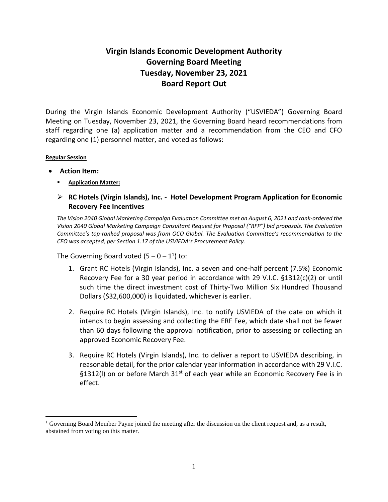## **Virgin Islands Economic Development Authority Governing Board Meeting Tuesday, November 23, 2021 Board Report Out**

During the Virgin Islands Economic Development Authority ("USVIEDA") Governing Board Meeting on Tuesday, November 23, 2021, the Governing Board heard recommendations from staff regarding one (a) application matter and a recommendation from the CEO and CFO regarding one (1) personnel matter, and voted as follows:

## **Regular Session**

 $\overline{a}$ 

- **Action Item:**
	- **Application Matter:**
	- **RC Hotels (Virgin Islands), Inc. - Hotel Development Program Application for Economic Recovery Fee Incentives**

*The Vision 2040 Global Marketing Campaign Evaluation Committee met on August 6, 2021 and rank-ordered the Vision 2040 Global Marketing Campaign Consultant Request for Proposal ("RFP") bid proposals. The Evaluation Committee's top-ranked proposal was from OCO Global. The Evaluation Committee's recommendation to the CEO was accepted, per Section 1.17 of the USVIEDA's Procurement Policy.*

The Governing Board voted  $(5-0-1^1)$  to:

- 1. Grant RC Hotels (Virgin Islands), Inc. a seven and one-half percent (7.5%) Economic Recovery Fee for a 30 year period in accordance with 29 V.I.C. §1312(c)(2) or until such time the direct investment cost of Thirty-Two Million Six Hundred Thousand Dollars (\$32,600,000) is liquidated, whichever is earlier.
- 2. Require RC Hotels (Virgin Islands), Inc. to notify USVIEDA of the date on which it intends to begin assessing and collecting the ERF Fee, which date shall not be fewer than 60 days following the approval notification, prior to assessing or collecting an approved Economic Recovery Fee.
- 3. Require RC Hotels (Virgin Islands), Inc. to deliver a report to USVIEDA describing, in reasonable detail, for the prior calendar year information in accordance with 29 V.I.C. §1312(I) on or before March 31<sup>st</sup> of each year while an Economic Recovery Fee is in effect.

<sup>&</sup>lt;sup>1</sup> Governing Board Member Payne joined the meeting after the discussion on the client request and, as a result, abstained from voting on this matter.